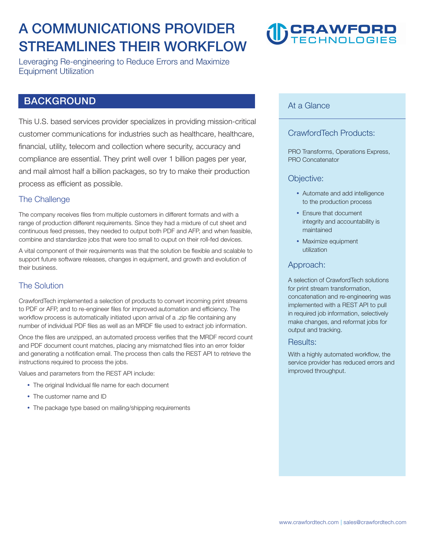# **A COMMUNICATIONS PROVIDER STREAMLINES THEIR WORKFLOW**

**Leveraging Re-engineering to Reduce Errors and Maximize Equipment Utilization** 

# **BACKGROUND**

**This U.S. based services provider specializes in providing mission-critical customer communications for industries such as healthcare, healthcare, financial, utility, telecom and collection where security, accuracy and compliance are essential. They print well over 1 billion pages per year, and mail almost half a billion packages, so try to make their production process as efficient as possible.** 

#### **The Challenge**

**The company receives files from multiple customers in different formats and with a range of production different requirements. Since they had a mixture of cut sheet and continuous feed presses, they needed to output both PDF and AFP, and when feasible, combine and standardize jobs that were too small to ouput on their roll-fed devices.** 

**A vital component of their requirements was that the solution be flexible and scalable to support future software releases, changes in equipment, and growth and evolution of their business.** 

## **The Solution**

**CrawfordTech implemented a selection of products to convert incoming print streams to PDF or AFP, and to re-engineer files for improved automation and efficiency. The workflow process is automatically initiated upon arrival of a .zip file containing any number of individual PDF files as well as an MRDF file used to extract job information.** 

**Once the files are unzipped, an automated process verifies that the MRDF record count and PDF document count matches, placing any mismatched files into an error folder and generating a notification email. The process then calls the REST API to retrieve the instructions required to process the jobs.** 

**Values and parameters from the REST API include:** 

- **The original Individual file name for each document**
- **The customer name and ID**
- **The package type based on mailing/shipping requirements**

# **CRAWFORD**

### **At a Glance**

## **CrawfordTech Products:**

**PRO Transforms, Operations Express, PRO Concatenator** 

#### **Objective:**

- **Automate and add intelligence to the production process**
- **Ensure that document integrity and accountability is maintained**
- **Maximize equipment utilization**

#### **Approach:**

**A selection of CrawfordTech solutions for print stream transformation, concatenation and re-engineering was implemented with a REST API to pull in required job information, selectively make changes, and reformat jobs for output and tracking.** 

#### **Results:**

**With a highly automated workflow, the service provider has reduced errors and improved throughput.**